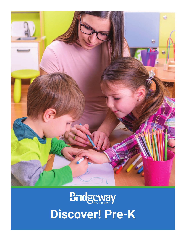

# **Bridgeway Discover! Pre-K**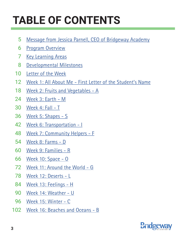## **TABLE OF CONTENTS**

- [Message from Jessica Parnell, CEO of Bridgeway Academy](#page--1-0) 5
- [Program Overview](#page-3-0) 6
- **[Key Learning Areas](#page-4-0)** 7
- [Developmental Milestones](#page--1-0) 8
- [Letter of the Week](#page--1-0) 10
- [Week 1: All About Me First Letter of the Student's Name](#page-5-0) 12
- [Week 2: Fruits and Vegetables A](#page--1-0) 18
- [Week 3: Earth M](#page--1-0) 24
- [Week 4: Fall T](#page--1-0) 30
- [Week 5: Shapes S](#page--1-0) 36
- [Week 6: Transportation I](#page--1-0) 42
- [Week 7: Community Helpers F](#page--1-0) 48
- [Week 8: Farms D](#page--1-0) 54
- [Week 9: Families R](#page--1-0) 60
- [Week 10: Space O](#page--1-0) 66
- [Week 11: Around the World G](#page--1-0) 72
- [Week 12: Deserts L](#page--1-0) 78
- [Week 13: Feelings H](#page--1-0) 84
- [Week 14: Weather U](#page--1-0) 90
- [Week 15: Winter C](#page--1-0) 96
- 102 [Week 16: Beaches and Oceans B](#page--1-0)

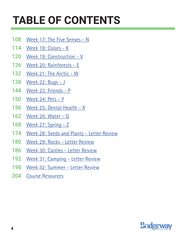## **TABLE OF CONTENTS**

- [Week 17: The Five Senses N](#page--1-0) 108
- [Week 18: Colors K](#page--1-0) 114
- [Week 19: Construction V](#page--1-0) 120
- [Week 20: Rainforests E](#page--1-0) 126
- [Week 21: The Arctic W](#page--1-0) 132
- [Week 22: Bugs J](#page--1-0) 138
- [Week 23: Friends P](#page--1-0) 144
- [Week 24: Pets Y](#page--1-0) 150
- [Week 25: Dental Health X](#page--1-0) 156
- [Week 26: Water Q](#page--1-0) 162
- [Week 27: Spring Z](#page--1-0) 168
- [Week 28: Seeds and Plants Letter Review](#page--1-0) 174
- [Week 29: Rocks Letter Review](#page--1-0) 180
- [Week 30: Castles Letter Review](#page--1-0) 186
- [Week 31: Camping Letter Review](#page--1-0) 192
- [Week 32: Summer Letter Review](#page--1-0) 198
- [Course Resources](#page--1-0) 204

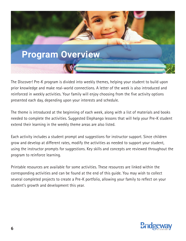<span id="page-3-0"></span>

The Discover! Pre-K program is divided into weekly themes, helping your student to build upon prior knowledge and make real-world connections. A letter of the week is also introduced and reinforced in weekly activities. Your family will enjoy choosing from the five activity options presented each day, depending upon your interests and schedule.

The theme is introduced at the beginning of each week, along with a list of materials and books needed to complete the activities. Suggested Elephango lessons that will help your Pre-K student extend their learning in the weekly theme areas are also listed.

Each activity includes a student prompt and suggestions for instructor support. Since children grow and develop at different rates, modify the activities as needed to support your student, using the instructor prompts for suggestions. Key skills and concepts are reviewed throughout the program to reinforce learning.

Printable resources are available for some activities. These resources are linked within the corresponding activities and can be found at the end of this guide. You may wish to collect several completed projects to create a Pre-K portfolio, allowing your family to reflect on your student's growth and development this year.

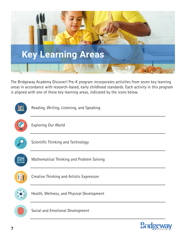<span id="page-4-0"></span>

The Bridgeway Academy Discover! Pre-K program incorporates activities from seven key learning areas in accordance with research-based, early childhood standards. Each activity in this program is aligned with one of these key learning areas, indicated by the icons below.



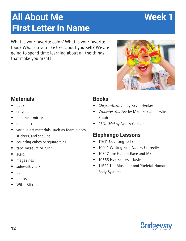### <span id="page-5-0"></span>**All About Me Week 1 First Letter in Name**

What is your favorite color? What is your favorite food? What do you like best about yourself? We are going to spend time learning about all the things that make you great!

#### **Materials**

- paper
- crayons
- handheld mirror
- glue stick
- various art materials, such as foam pieces, stickers, and sequins
- counting cubes or square tiles
- tape measure or ruler
- scale
- magazines
- sidewalk chalk
- ball
- blocks
- Wikki Stix

#### **Books**

- Chrysanthemum by Kevin Henkes
- Whoever You Are by Mem Fox and Leslie Staub
- I Like Me! by Nancy Carlson

#### **Elephango Lessons**

- 11611 Counting to Ten
- 10041 Writing First Names Correctly
- 10347 The Human Race and Me
- 10555 Five Senses Taste
- 11522 The Muscular and Skeletal Human Body Systems





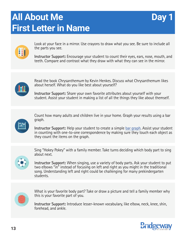## **All About Me First Letter in Name**





Look at your face in a mirror. Use crayons to draw what you see. Be sure to include all the parts you see.

**Instructor Support:** Encourage your student to count their eyes, ears, nose, mouth, and teeth. Compare and contrast what they draw with what they can see in the mirror.



Read the book Chrysanthemum by Kevin Henkes. Discuss what Chrysanthemum likes about herself. What do you like best about yourself?

**Instructor Support:** Share your own favorite attributes about yourself with your student. Assist your student in making a list of all the things they like about themself.



Count how many adults and children live in your home. Graph your results using a bar graph.

**Instructor Support:** Help your student to create a simple [bar graph](#page--1-0). Assist your student in counting with one-to-one correspondence by making sure they touch each object as they count the items on the graph.



Sing "Hokey Pokey" with a family member. Take turns deciding which body part to sing about next.

I**nstructor Support:** When singing, use a variety of body parts. Ask your student to put two elbows "in" instead of focusing on left and right as you might in the traditional song. Understanding left and right could be challenging for many prekindergarten students.



What is your favorite body part? Take or draw a picture and tell a family member why this is your favorite part of you.

**Instructor Support:** Introduce lesser-known vocabulary, like elbow, neck, knee, shin, forehead, and ankle.

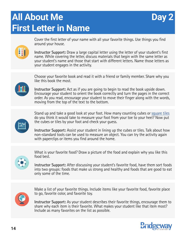## **All About Me First Letter in Name**



83

Cover the first letter of your name with all your favorite things. Use things you find around your house.

**Instructor Support:** Draw a large capital letter using the letter of your student's first name. While covering the letter, discuss materials that begin with the same letter as your student's name and those that start with different letters. Name those letters as your student engages in the activity.



Choose your favorite book and read it with a friend or family member. Share why you like this book the most.

**Instructor Support:** Act as if you are going to begin to read the book upside down. Encourage your student to orient the book correctly and turn the pages in the correct order. As you read, encourage your student to move their finger along with the words, moving from the top of the text to the bottom.



Stand up and take a good look at your foot. How many counting cubes or [square tiles](#page--1-0) do you think it would take to measure your foot from your toe to your heel? Now put the cubes or tiles by your foot and check your guess.

**Instructor Support:** Assist your student in lining up the cubes or tiles. Talk about how non-standard tools can be used to measure an object. You can try the activity again with paperclips or items you find around the home.



What is your favorite food? Draw a picture of the food and explain why you like this food best.

I**nstructor Support:** After discussing your student's favorite food, have them sort foods into two groups: foods that make us strong and healthy and foods that are good to eat only some of the time.



Make a list of your favorite things. Include items like your favorite food, favorite place to go, favorite color, and favorite toy.

**Instructor Support:** As your student describes their favorite things, encourage them to share why each item is their favorite. What makes your student like that item most? Include as many favorites on the list as possible.

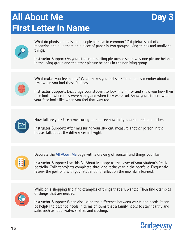## **All About Me First Letter in Name**





What do plants, animals, and people all have in common? Cut pictures out of a magazine and glue them on a piece of paper in two groups: living things and nonliving things.

**Instructor Support:** As your student is sorting pictures, discuss why one picture belongs in the living group and the other picture belongs in the nonliving group.



What makes you feel happy? What makes you feel sad? Tell a family member about a time when you had those feelings.

**Instructor Support:** Encourage your student to look in a mirror and show you how their face looked when they were happy and when they were sad. Show your student what your face looks like when you feel that way too.



How tall are you? Use a measuring tape to see how tall you are in feet and inches.

**Instructor Support:** After measuring your student, measure another person in the house. Talk about the differences in height.



Decorate the [All About Me](#page--1-0) page with a drawing of yourself and things you like.

I**nstructor Support:** Use this All About Me page as the cover of your student's Pre-K portfolio. Collect projects completed throughout the year in the portfolio. Frequently review the portfolio with your student and reflect on the new skills learned.



While on a shopping trip, find examples of things that are wanted. Then find examples of things that are needed.

**Instructor Support:** When discussing the difference between wants and needs, it can be helpful to describe needs in terms of items that a family needs to stay healthy and safe, such as food, water, shelter, and clothing.